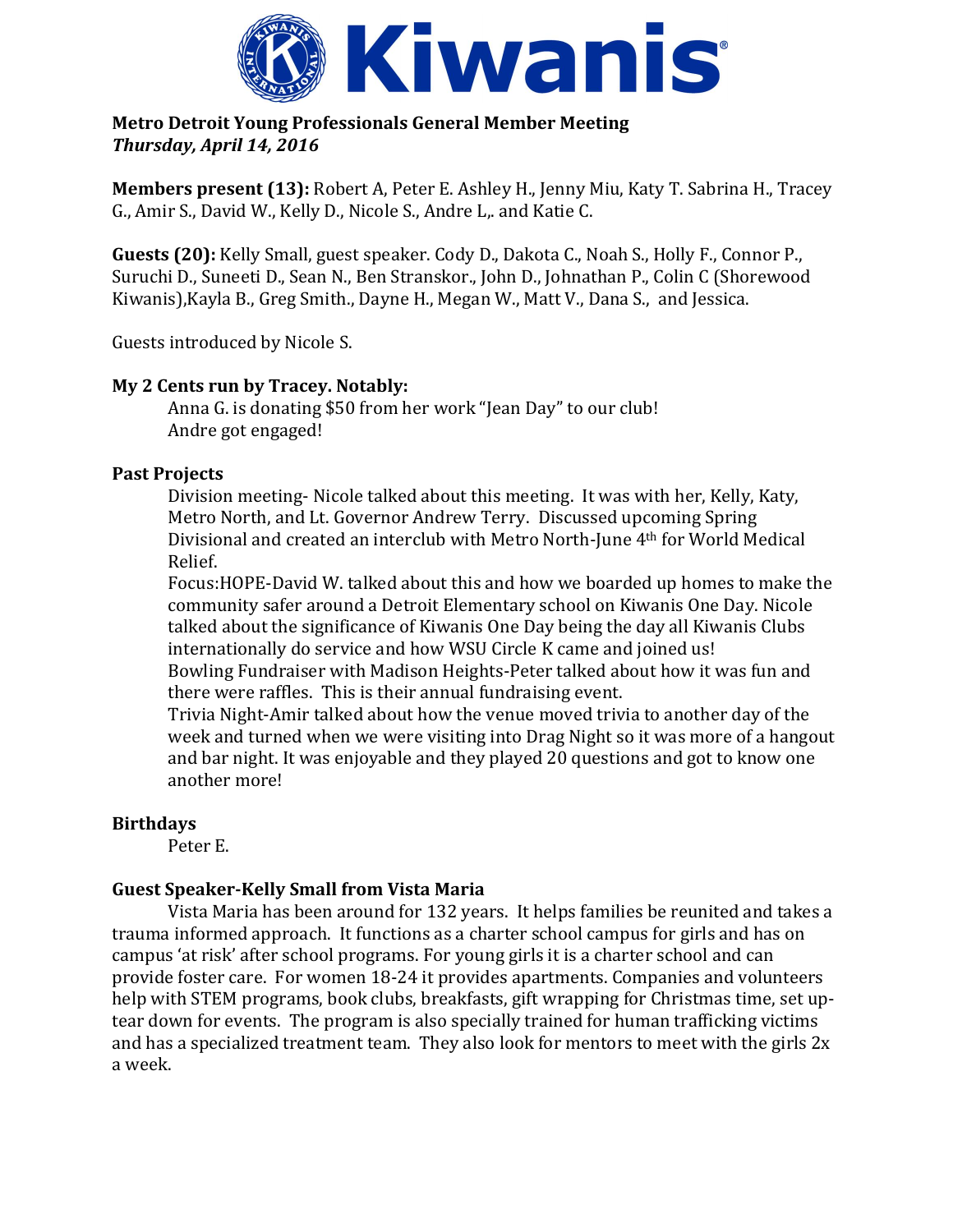

## **Metro Detroit Young Professionals General Member Meeting**  *Thursday, April 14, 2016*

**Members present (13):** Robert A, Peter E. Ashley H., Jenny Miu, Katy T. Sabrina H., Tracey G., Amir S., David W., Kelly D., Nicole S., Andre L,. and Katie C.

**Guests (20):** Kelly Small, guest speaker. Cody D., Dakota C., Noah S., Holly F., Connor P., Suruchi D., Suneeti D., Sean N., Ben Stranskor., John D., Johnathan P., Colin C (Shorewood Kiwanis),Kayla B., Greg Smith., Dayne H., Megan W., Matt V., Dana S., and Jessica.

Guests introduced by Nicole S.

## **My 2 Cents run by Tracey. Notably:**

Anna G. is donating \$50 from her work "Jean Day" to our club! Andre got engaged!

## **Past Projects**

Division meeting- Nicole talked about this meeting. It was with her, Kelly, Katy, Metro North, and Lt. Governor Andrew Terry. Discussed upcoming Spring Divisional and created an interclub with Metro North-June 4th for World Medical Relief.

Focus:HOPE-David W. talked about this and how we boarded up homes to make the community safer around a Detroit Elementary school on Kiwanis One Day. Nicole talked about the significance of Kiwanis One Day being the day all Kiwanis Clubs internationally do service and how WSU Circle K came and joined us! Bowling Fundraiser with Madison Heights-Peter talked about how it was fun and there were raffles. This is their annual fundraising event.

Trivia Night-Amir talked about how the venue moved trivia to another day of the week and turned when we were visiting into Drag Night so it was more of a hangout and bar night. It was enjoyable and they played 20 questions and got to know one another more!

## **Birthdays**

Peter E.

# **Guest Speaker-Kelly Small from Vista Maria**

Vista Maria has been around for 132 years. It helps families be reunited and takes a trauma informed approach. It functions as a charter school campus for girls and has on campus 'at risk' after school programs. For young girls it is a charter school and can provide foster care. For women 18-24 it provides apartments. Companies and volunteers help with STEM programs, book clubs, breakfasts, gift wrapping for Christmas time, set uptear down for events. The program is also specially trained for human trafficking victims and has a specialized treatment team. They also look for mentors to meet with the girls 2x a week.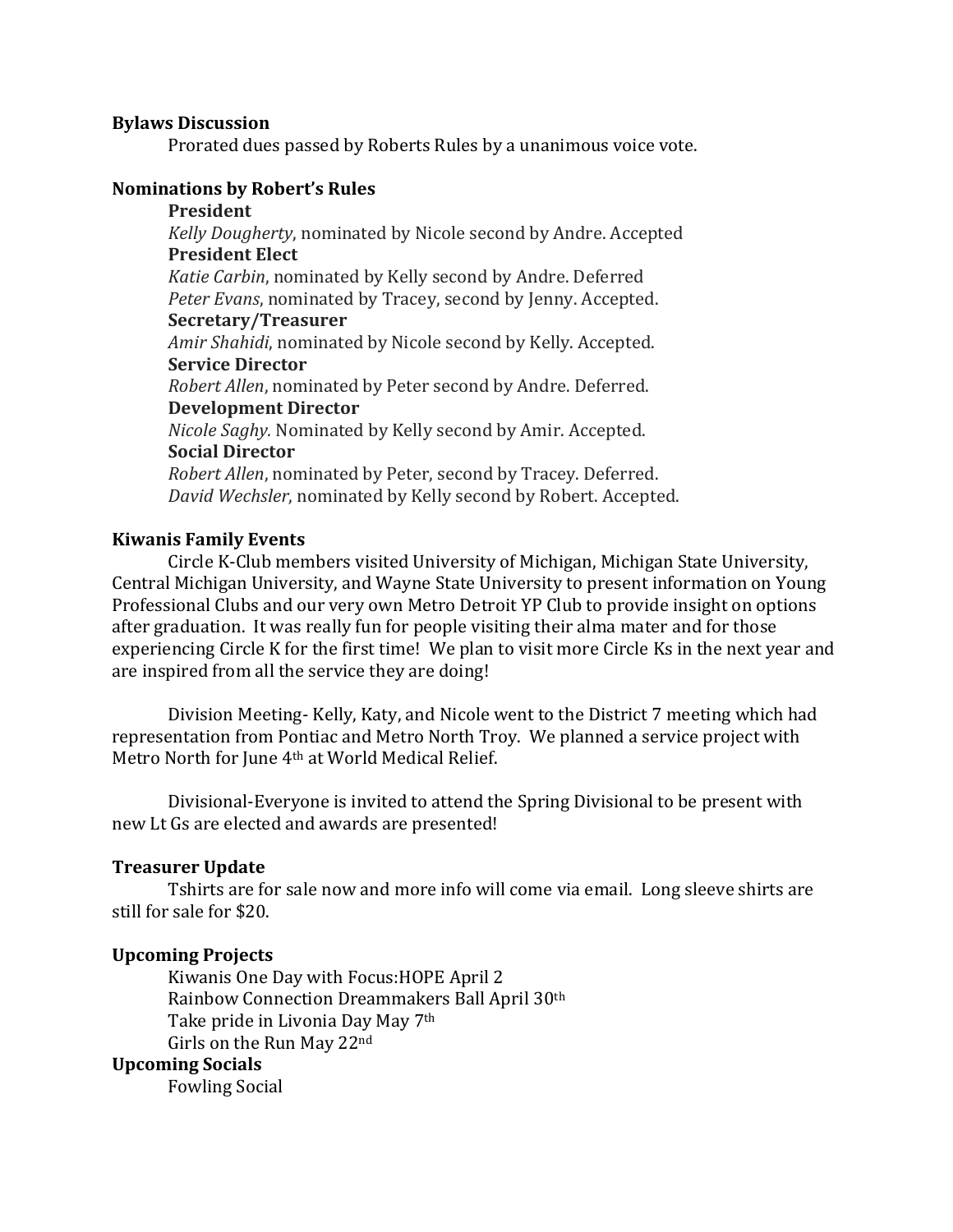#### **Bylaws Discussion**

Prorated dues passed by Roberts Rules by a unanimous voice vote.

### **Nominations by Robert's Rules**

## **President**

*Kelly Dougherty*, nominated by Nicole second by Andre. Accepted **President Elect** *Katie Carbin*, nominated by Kelly second by Andre. Deferred *Peter Evans*, nominated by Tracey, second by Jenny. Accepted. **Secretary/Treasurer** *Amir Shahidi*, nominated by Nicole second by Kelly. Accepted. **Service Director** *Robert Allen*, nominated by Peter second by Andre. Deferred. **Development Director**

*Nicole Saghy.* Nominated by Kelly second by Amir. Accepted. **Social Director** *Robert Allen*, nominated by Peter, second by Tracey. Deferred.

*David Wechsler*, nominated by Kelly second by Robert. Accepted.

#### **Kiwanis Family Events**

Circle K-Club members visited University of Michigan, Michigan State University, Central Michigan University, and Wayne State University to present information on Young Professional Clubs and our very own Metro Detroit YP Club to provide insight on options after graduation. It was really fun for people visiting their alma mater and for those experiencing Circle K for the first time! We plan to visit more Circle Ks in the next year and are inspired from all the service they are doing!

Division Meeting- Kelly, Katy, and Nicole went to the District 7 meeting which had representation from Pontiac and Metro North Troy. We planned a service project with Metro North for June 4th at World Medical Relief.

Divisional-Everyone is invited to attend the Spring Divisional to be present with new Lt Gs are elected and awards are presented!

### **Treasurer Update**

Tshirts are for sale now and more info will come via email. Long sleeve shirts are still for sale for \$20.

### **Upcoming Projects**

Kiwanis One Day with Focus:HOPE April 2 Rainbow Connection Dreammakers Ball April 30th Take pride in Livonia Day May 7th Girls on the Run May 22nd

## **Upcoming Socials**

Fowling Social